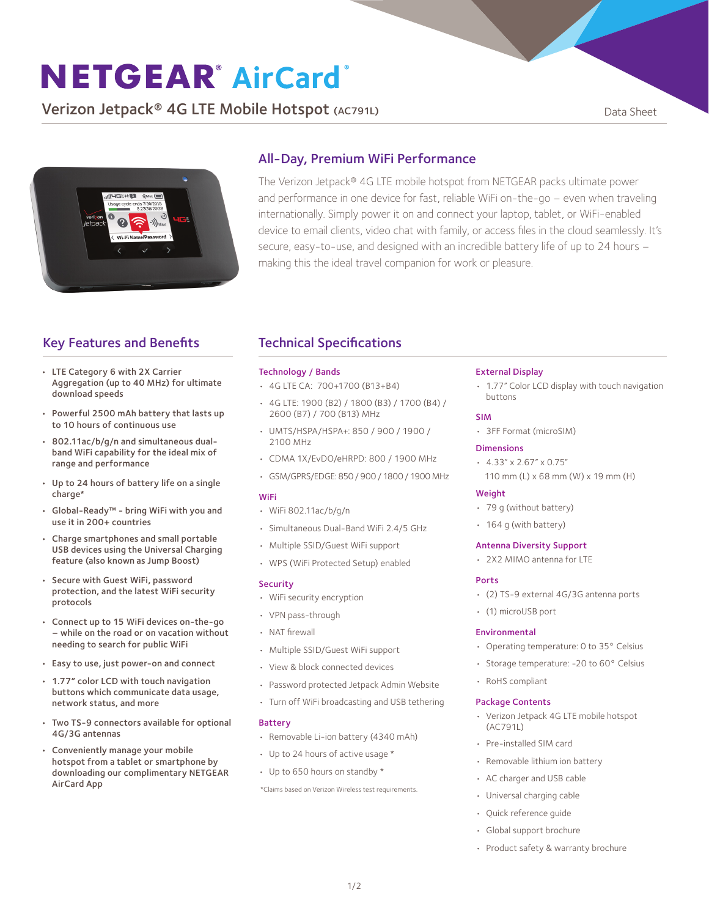# **NETGEAR® AirCard®**

**Verizon Jetpack<sup>®</sup> 4G LTE Mobile Hotspot** (AC791L) Data Sheet



### All-Day, Premium WiFi Performance

The Verizon Jetpack® 4G LTE mobile hotspot from NETGEAR packs ultimate power and performance in one device for fast, reliable WiFi on-the-go – even when traveling internationally. Simply power it on and connect your laptop, tablet, or WiFi-enabled device to email clients, video chat with family, or access files in the cloud seamlessly. It's secure, easy-to-use, and designed with an incredible battery life of up to 24 hours – making this the ideal travel companion for work or pleasure.

## Key Features and Benefits

- LTE Category 6 with 2X Carrier Aggregation (up to 40 MHz) for ultimate download speeds
- Powerful 2500 mAh battery that lasts up to 10 hours of continuous use
- 802.11ac/b/g/n and simultaneous dualband WiFi capability for the ideal mix of range and performance
- Up to 24 hours of battery life on a single charge\*
- Global-Ready™ bring WiFi with you and use it in 200+ countries
- Charge smartphones and small portable USB devices using the Universal Charging feature (also known as Jump Boost)
- Secure with Guest WiFi, password protection, and the latest WiFi security protocols
- Connect up to 15 WiFi devices on-the-go – while on the road or on vacation without needing to search for public WiFi
- Easy to use, just power-on and connect
- 1.77" color LCD with touch navigation buttons which communicate data usage, network status, and more
- Two TS-9 connectors available for optional 4G/3G antennas
- Conveniently manage your mobile hotspot from a tablet or smartphone by downloading our complimentary NETGEAR AirCard App

## Technical Specifications

#### Technology / Bands

- • 4G LTE CA: 700+1700 (B13+B4)
- • 4G LTE: 1900 (B2) / 1800 (B3) / 1700 (B4) / 2600 (B7) / 700 (B13) MHz
- • UMTS/HSPA/HSPA+: 850 / 900 / 1900 / 2100 MHz
- • CDMA 1X/EvDO/eHRPD: 800 / 1900 MHz
- GSM/GPRS/EDGE: 850 / 900 / 1800 / 1900 MHz

#### WiFi

- • WiFi 802.11ac/b/g/n
- • Simultaneous Dual-Band WiFi 2.4/5 GHz
- • Multiple SSID/Guest WiFi support
- • WPS (WiFi Protected Setup) enabled

#### Security

- • WiFi security encryption
- • VPN pass-through
- • NAT firewall
- • Multiple SSID/Guest WiFi support
- • View & block connected devices
- • Password protected Jetpack Admin Website
- • Turn off WiFi broadcasting and USB tethering

#### Battery

- • Removable Li-ion battery (4340 mAh)
- • Up to 24 hours of active usage \*
- Up to 650 hours on standby \*

\*Claims based on Verizon Wireless test requirements.

#### External Display

• 1.77" Color LCD display with touch navigation buttons

#### SIM

• 3FF Format (microSIM)

#### Dimensions

- $\cdot$  4.33" x 2.67" x 0.75"
	- 110 mm (L) x 68 mm (W) x 19 mm (H)

#### **Weight**

- • 79 g (without battery)
- 164 g (with battery)

#### Antenna Diversity Support

• 2X2 MIMO antenna for LTE

#### Ports

- • (2) TS-9 external 4G/3G antenna ports
- • (1) microUSB port

#### Environmental

- Operating temperature: 0 to 35° Celsius
- Storage temperature: -20 to 60° Celsius
- • RoHS compliant

#### Package Contents

- • Verizon Jetpack 4G LTE mobile hotspot (AC791L)
- • Pre-installed SIM card
- Removable lithium ion battery
- • AC charger and USB cable
- • Universal charging cable
- • Quick reference guide
- • Global support brochure
- Product safety & warranty brochure